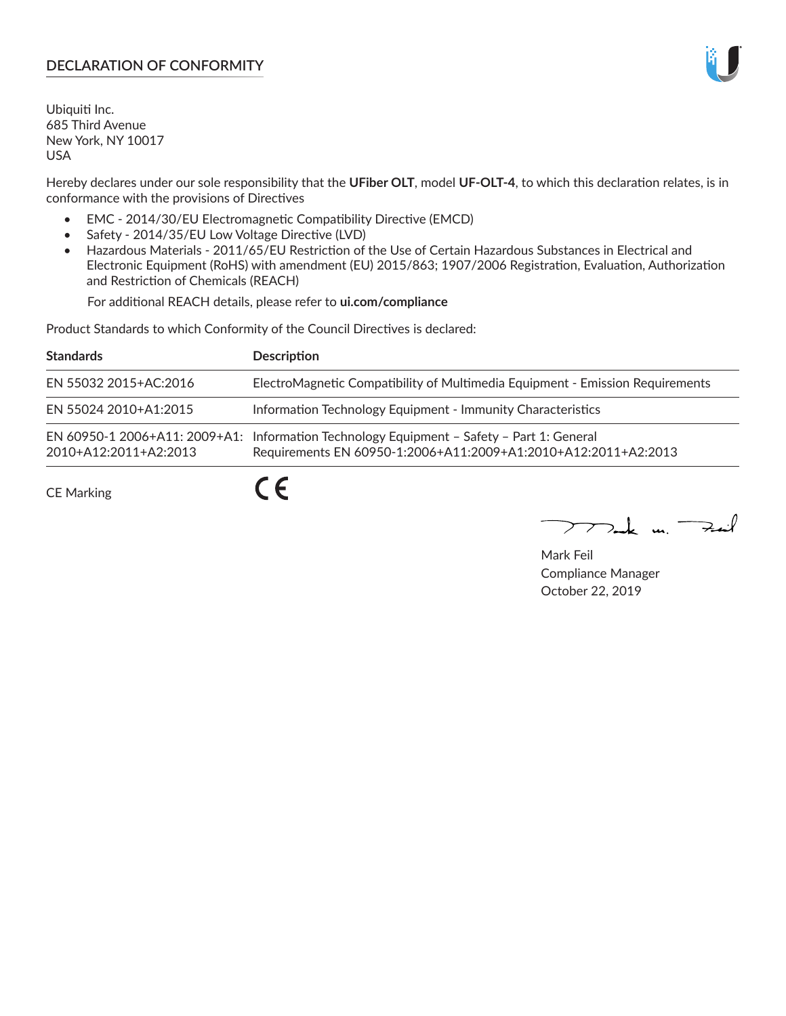## **DECLARATION OF CONFORMITY**

Ubiquiti Inc. 685 Third Avenue New York, NY 10017 USA

Hereby declares under our sole responsibility that the **UFiber OLT**, model **UF-OLT-4**, to which this declaration relates, is in conformance with the provisions of Directives

- EMC 2014/30/EU Electromagnetic Compatibility Directive (EMCD)
- Safety 2014/35/EU Low Voltage Directive (LVD)
- Hazardous Materials 2011/65/EU Restriction of the Use of Certain Hazardous Substances in Electrical and Electronic Equipment (RoHS) with amendment (EU) 2015/863; 1907/2006 Registration, Evaluation, Authorization and Restriction of Chemicals (REACH)

For additional REACH details, please refer to **ui.com/compliance**

Product Standards to which Conformity of the Council Directives is declared:

| <b>Standards</b>      | <b>Description</b>                                                                                                                                          |
|-----------------------|-------------------------------------------------------------------------------------------------------------------------------------------------------------|
| EN 55032 2015+AC:2016 | ElectroMagnetic Compatibility of Multimedia Equipment - Emission Requirements                                                                               |
| EN 55024 2010+A1:2015 | Information Technology Equipment - Immunity Characteristics                                                                                                 |
| 2010+A12:2011+A2:2013 | EN 60950-1 2006+A11: 2009+A1: Information Technology Equipment - Safety - Part 1: General<br>Requirements EN 60950-1:2006+A11:2009+A1:2010+A12:2011+A2:2013 |
| <b>CE Marking</b>     |                                                                                                                                                             |

Mak m. Fail

Mark Feil Compliance Manager October 22, 2019

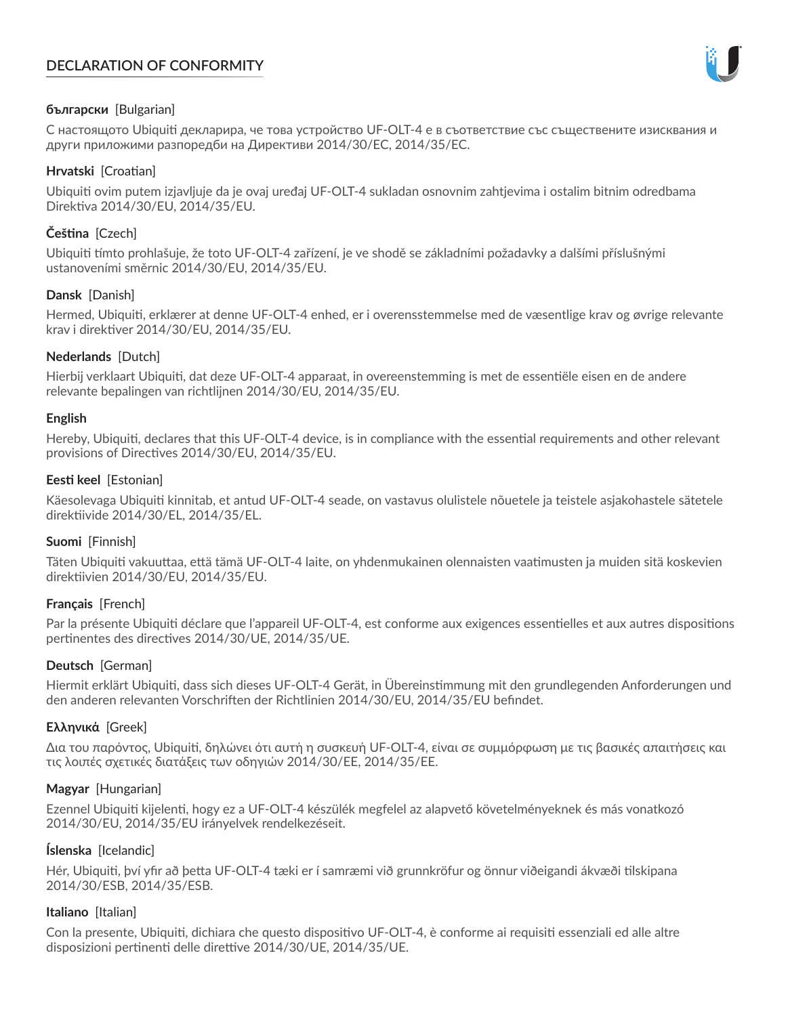# **DECLARATION OF CONFORMITY**



## **български** [Bulgarian]

С настоящото Ubiquiti декларира, че това устройство UF-OLT-4 е в съответствие със съществените изисквания и други приложими разпоредби на Директиви 2014/30/ЕС, 2014/35/ЕС.

## **Hrvatski** [Croatian]

Ubiquiti ovim putem izjavljuje da je ovaj uređaj UF-OLT-4 sukladan osnovnim zahtjevima i ostalim bitnim odredbama Direktiva 2014/30/EU, 2014/35/EU.

# **Čeština** [Czech]

Ubiquiti tímto prohlašuje, že toto UF-OLT-4 zařízení, je ve shodě se základními požadavky a dalšími příslušnými ustanoveními směrnic 2014/30/EU, 2014/35/EU.

## **Dansk** [Danish]

Hermed, Ubiquiti, erklærer at denne UF-OLT-4 enhed, er i overensstemmelse med de væsentlige krav og øvrige relevante krav i direktiver 2014/30/EU, 2014/35/EU.

## **Nederlands** [Dutch]

Hierbij verklaart Ubiquiti, dat deze UF-OLT-4 apparaat, in overeenstemming is met de essentiële eisen en de andere relevante bepalingen van richtlijnen 2014/30/EU, 2014/35/EU.

### **English**

Hereby, Ubiquiti, declares that this UF-OLT-4 device, is in compliance with the essential requirements and other relevant provisions of Directives 2014/30/EU, 2014/35/EU.

## **Eesti keel** [Estonian]

Käesolevaga Ubiquiti kinnitab, et antud UF-OLT-4 seade, on vastavus olulistele nõuetele ja teistele asjakohastele sätetele direktiivide 2014/30/EL, 2014/35/EL.

### **Suomi** [Finnish]

Täten Ubiquiti vakuuttaa, että tämä UF-OLT-4 laite, on yhdenmukainen olennaisten vaatimusten ja muiden sitä koskevien direktiivien 2014/30/EU, 2014/35/EU.

### **Français** [French]

Par la présente Ubiquiti déclare que l'appareil UF-OLT-4, est conforme aux exigences essentielles et aux autres dispositions pertinentes des directives 2014/30/UE, 2014/35/UE.

# **Deutsch** [German]

Hiermit erklärt Ubiquiti, dass sich dieses UF-OLT-4 Gerät, in Übereinstimmung mit den grundlegenden Anforderungen und den anderen relevanten Vorschriften der Richtlinien 2014/30/EU, 2014/35/EU befindet.

### **Ελληνικά** [Greek]

Δια του παρόντος, Ubiquiti, δηλώνει ότι αυτή η συσκευή UF-OLT-4, είναι σε συμμόρφωση με τις βασικές απαιτήσεις και τις λοιπές σχετικές διατάξεις των οδηγιών 2014/30/EE, 2014/35/EE.

### **Magyar** [Hungarian]

Ezennel Ubiquiti kijelenti, hogy ez a UF-OLT-4 készülék megfelel az alapvető követelményeknek és más vonatkozó 2014/30/EU, 2014/35/EU irányelvek rendelkezéseit.

### **Íslenska** [Icelandic]

Hér, Ubiquiti, því yfir að þetta UF-OLT-4 tæki er í samræmi við grunnkröfur og önnur viðeigandi ákvæði tilskipana 2014/30/ESB, 2014/35/ESB.

### **Italiano** [Italian]

Con la presente, Ubiquiti, dichiara che questo dispositivo UF-OLT-4, è conforme ai requisiti essenziali ed alle altre disposizioni pertinenti delle direttive 2014/30/UE, 2014/35/UE.